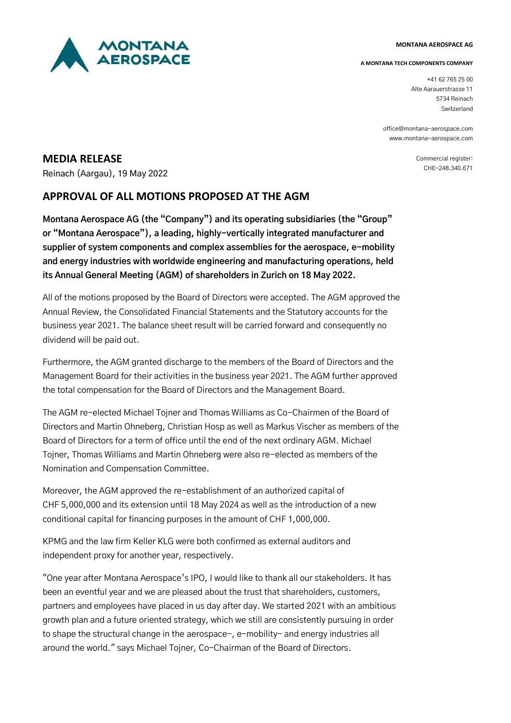

#### **MONTANA AEROSPACE AG**

### **A MONTANA TECH COMPONENTS COMPANY**

+41 62 765 25 00 Alte Aarauerstrasse 11 5734 Reinach Switzerland

office@montana-aerospace.com www.montana-aerospace.com

> Commercial register: CHE-248.340.671

# **MEDIA RELEASE**

Reinach (Aargau), 19 May 2022

# **APPROVAL OF ALL MOTIONS PROPOSED AT THE AGM**

**Montana Aerospace AG (the "Company") and its operating subsidiaries (the "Group" or "Montana Aerospace"), a leading, highly-vertically integrated manufacturer and supplier of system components and complex assemblies for the aerospace, e-mobility and energy industries with worldwide engineering and manufacturing operations, held its Annual General Meeting (AGM) of shareholders in Zurich on 18 May 2022.**

All of the motions proposed by the Board of Directors were accepted. The AGM approved the Annual Review, the Consolidated Financial Statements and the Statutory accounts for the business year 2021. The balance sheet result will be carried forward and consequently no dividend will be paid out.

Furthermore, the AGM granted discharge to the members of the Board of Directors and the Management Board for their activities in the business year 2021. The AGM further approved the total compensation for the Board of Directors and the Management Board.

The AGM re-elected Michael Tojner and Thomas Williams as Co-Chairmen of the Board of Directors and Martin Ohneberg, Christian Hosp as well as Markus Vischer as members of the Board of Directors for a term of office until the end of the next ordinary AGM. Michael Tojner, Thomas Williams and Martin Ohneberg were also re-elected as members of the Nomination and Compensation Committee.

Moreover, the AGM approved the re-establishment of an authorized capital of CHF 5,000,000 and its extension until 18 May 2024 as well as the introduction of a new conditional capital for financing purposes in the amount of CHF 1,000,000.

KPMG and the law firm Keller KLG were both confirmed as external auditors and independent proxy for another year, respectively.

"One year after Montana Aerospace's IPO, I would like to thank all our stakeholders. It has been an eventful year and we are pleased about the trust that shareholders, customers, partners and employees have placed in us day after day. We started 2021 with an ambitious growth plan and a future oriented strategy, which we still are consistently pursuing in order to shape the structural change in the aerospace-, e-mobility- and energy industries all around the world." says Michael Tojner, Co-Chairman of the Board of Directors.